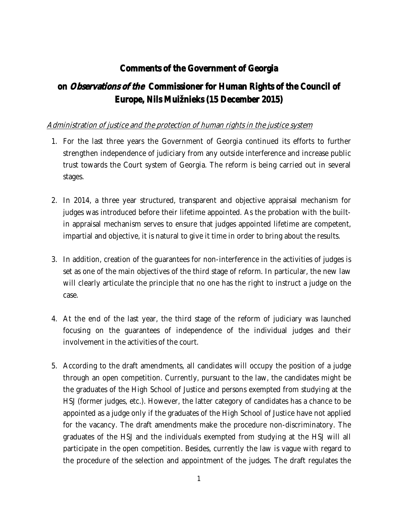# **Comments of the Government of Georgia**

# **on** *Observations of the* **Commissioner for Human Rights of the Council of Europe, Nils Muižnieks (15 December 2015)**

## *Administration of justice and the protection of human rights in the justice system*

- 1. For the last three years the Government of Georgia continued its efforts to further strengthen independence of judiciary from any outside interference and increase public trust towards the Court system of Georgia. The reform is being carried out in several stages.
- 2. In 2014, a three year structured, transparent and objective appraisal mechanism for judges was introduced before their lifetime appointed. As the probation with the builtin appraisal mechanism serves to ensure that judges appointed lifetime are competent, impartial and objective, it is natural to give it time in order to bring about the results.
- 3. In addition, creation of the guarantees for non-interference in the activities of judges is set as one of the main objectives of the third stage of reform. In particular, the new law will clearly articulate the principle that no one has the right to instruct a judge on the case.
- 4. At the end of the last year, the third stage of the reform of judiciary was launched focusing on the guarantees of independence of the individual judges and their involvement in the activities of the court.
- 5. According to the draft amendments, all candidates will occupy the position of a judge through an open competition. Currently, pursuant to the law, the candidates might be the graduates of the High School of Justice and persons exempted from studying at the HSJ (former judges, etc.). However, the latter category of candidates has a chance to be appointed as a judge only if the graduates of the High School of Justice have not applied for the vacancy. The draft amendments make the procedure non-discriminatory. The graduates of the HSJ and the individuals exempted from studying at the HSJ will all participate in the open competition. Besides, currently the law is vague with regard to the procedure of the selection and appointment of the judges. The draft regulates the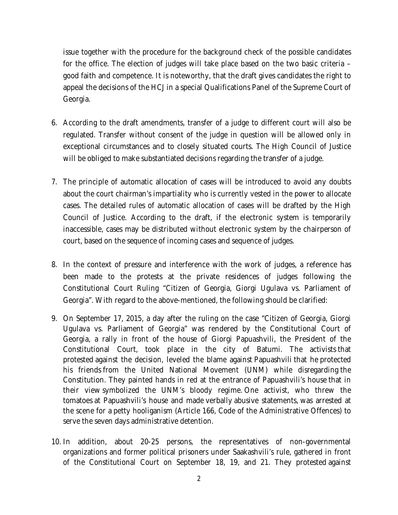issue together with the procedure for the background check of the possible candidates for the office. The election of judges will take place based on the two basic criteria – good faith and competence. It is noteworthy, that the draft gives candidates the right to appeal the decisions of the HCJ in a special Qualifications Panel of the Supreme Court of Georgia.

- 6. According to the draft amendments, transfer of a judge to different court will also be regulated. Transfer without consent of the judge in question will be allowed only in exceptional circumstances and to closely situated courts. The High Council of Justice will be obliged to make substantiated decisions regarding the transfer of a judge.
- 7. The principle of automatic allocation of cases will be introduced to avoid any doubts about the court chairman's impartiality who is currently vested in the power to allocate cases. The detailed rules of automatic allocation of cases will be drafted by the High Council of Justice. According to the draft, if the electronic system is temporarily inaccessible, cases may be distributed without electronic system by the chairperson of court, based on the sequence of incoming cases and sequence of judges.
- 8. In the context of pressure and interference with the work of judges, a reference has been made to the protests at the private residences of judges following the Constitutional Court Ruling "Citizen of Georgia, Giorgi Ugulava vs. Parliament of Georgia". With regard to the above-mentioned, the following should be clarified:
- 9. On September 17, 2015, a day after the ruling on the case "Citizen of Georgia, Giorgi Ugulava vs. Parliament of Georgia" was rendered by the Constitutional Court of Georgia, a rally in front of the house of Giorgi Papuashvili, the President of the Constitutional Court, took place in the city of Batumi. The activists that protested against the decision, leveled the blame against Papuashvili that he protected his friends from the United National Movement (UNM) while disregarding the Constitution. They painted hands in red at the entrance of Papuashvili's house that in their view symbolized the UNM's bloody regime. One activist, who threw the tomatoes at Papuashvili's house and made verbally abusive statements, was arrested at the scene for a petty hooliganism (Article 166, Code of the Administrative Offences) to serve the seven days administrative detention.
- 10. In addition, about 20-25 persons, the representatives of non-governmental organizations and former political prisoners under Saakashvili's rule, gathered in front of the Constitutional Court on September 18, 19, and 21. They protested against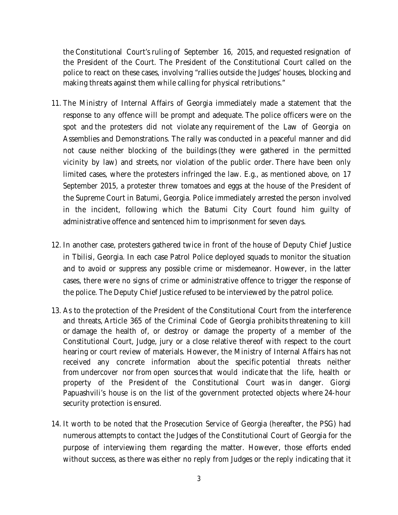the Constitutional Court's ruling of September 16, 2015, and requested resignation of the President of the Court. The President of the Constitutional Court called on the police to react on these cases, involving "rallies outside the Judges' houses, blocking and making threats against them while calling for physical retributions."

- 11. The Ministry of Internal Affairs of Georgia immediately made a statement that the response to any offence will be prompt and adequate. The police officers were on the spot and the protesters did not violate any requirement of the Law of Georgia on Assemblies and Demonstrations. The rally was conducted in a peaceful manner and did not cause neither blocking of the buildings (they were gathered in the permitted vicinity by law) and streets, nor violation of the public order. There have been only limited cases, where the protesters infringed the law. E.g., as mentioned above, on 17 September 2015, a protester threw tomatoes and eggs at the house of the President of the Supreme Court in Batumi, Georgia. Police immediately arrested the person involved in the incident, following which the Batumi City Court found him guilty of administrative offence and sentenced him to imprisonment for seven days.
- 12. In another case, protesters gathered twice in front of the house of Deputy Chief Justice in Tbilisi, Georgia. In each case Patrol Police deployed squads to monitor the situation and to avoid or suppress any possible crime or misdemeanor. However, in the latter cases, there were no signs of crime or administrative offence to trigger the response of the police. The Deputy Chief Justice refused to be interviewed by the patrol police.
- 13. As to the protection of the President of the Constitutional Court from the interference and threats, Article 365 of the Criminal Code of Georgia prohibits threatening to kill or damage the health of, or destroy or damage the property of a member of the Constitutional Court, Judge, jury or a close relative thereof with respect to the court hearing or court review of materials. However, the Ministry of Internal Affairs has not received any concrete information about the specific potential threats neither from undercover nor from open sources that would indicate that the life, health or property of the President of the Constitutional Court was in danger. Giorgi Papuashvili's house is on the list of the government protected objects where 24-hour security protection is ensured.
- 14. It worth to be noted that the Prosecution Service of Georgia (hereafter, the PSG) had numerous attempts to contact the Judges of the Constitutional Court of Georgia for the purpose of interviewing them regarding the matter. However, those efforts ended without success, as there was either no reply from Judges or the reply indicating that it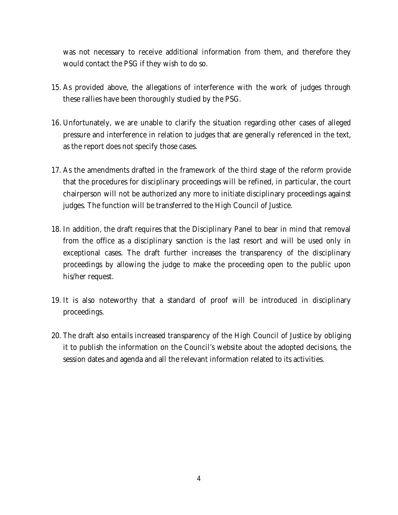was not necessary to receive additional information from them, and therefore they would contact the PSG if they wish to do so.

- 15. As provided above, the allegations of interference with the work of judges through these rallies have been thoroughly studied by the PSG.
- 16. Unfortunately, we are unable to clarify the situation regarding other cases of alleged pressure and interference in relation to judges that are generally referenced in the text, as the report does not specify those cases.
- 17. As the amendments drafted in the framework of the third stage of the reform provide that the procedures for disciplinary proceedings will be refined, in particular, the court chairperson will not be authorized any more to initiate disciplinary proceedings against judges. The function will be transferred to the High Council of Justice.
- 18. In addition, the draft requires that the Disciplinary Panel to bear in mind that removal from the office as a disciplinary sanction is the last resort and will be used only in exceptional cases. The draft further increases the transparency of the disciplinary proceedings by allowing the judge to make the proceeding open to the public upon his/her request.
- 19. It is also noteworthy that a standard of proof will be introduced in disciplinary proceedings.
- 20. The draft also entails increased transparency of the High Council of Justice by obliging it to publish the information on the Council's website about the adopted decisions, the session dates and agenda and all the relevant information related to its activities.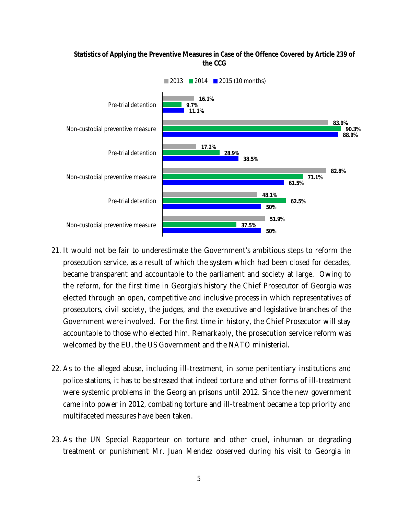#### **Statistics of Applying the Preventive Measures in Case of the Offence Covered by Article 239 of the CCG**



- 21. It would not be fair to underestimate the Government's ambitious steps to reform the prosecution service, as a result of which the system which had been closed for decades, became transparent and accountable to the parliament and society at large. Owing to the reform, for the first time in Georgia's history the Chief Prosecutor of Georgia was elected through an open, competitive and inclusive process in which representatives of prosecutors, civil society, the judges, and the executive and legislative branches of the Government were involved. For the first time in history, the Chief Prosecutor will stay accountable to those who elected him. Remarkably, the prosecution service reform was welcomed by the EU, the US Government and the NATO ministerial.
- 22. As to the alleged abuse, including ill-treatment, in some penitentiary institutions and police stations, it has to be stressed that indeed torture and other forms of ill-treatment were systemic problems in the Georgian prisons until 2012. Since the new government came into power in 2012, combating torture and ill-treatment became a top priority and multifaceted measures have been taken.
- 23. As the UN Special Rapporteur on torture and other cruel, inhuman or degrading treatment or punishment Mr. Juan Mendez observed during his visit to Georgia in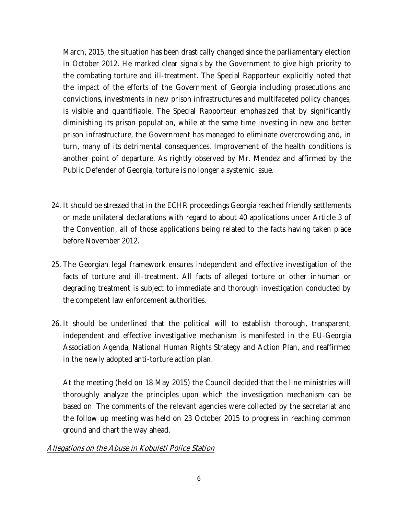March, 2015, the situation has been drastically changed since the parliamentary election in October 2012. He marked clear signals by the Government to give high priority to the combating torture and ill-treatment. The Special Rapporteur explicitly noted that the impact of the efforts of the Government of Georgia including prosecutions and convictions, investments in new prison infrastructures and multifaceted policy changes, is visible and quantifiable. The Special Rapporteur emphasized that by significantly diminishing its prison population, while at the same time investing in new and better prison infrastructure, the Government has managed to eliminate overcrowding and, in turn, many of its detrimental consequences. Improvement of the health conditions is another point of departure. As rightly observed by Mr. Mendez and affirmed by the Public Defender of Georgia, torture is no longer a systemic issue.

- 24. It should be stressed that in the ECHR proceedings Georgia reached friendly settlements or made unilateral declarations with regard to about 40 applications under Article 3 of the Convention, all of those applications being related to the facts having taken place before November 2012.
- 25. The Georgian legal framework ensures independent and effective investigation of the facts of torture and ill-treatment. All facts of alleged torture or other inhuman or degrading treatment is subject to immediate and thorough investigation conducted by the competent law enforcement authorities.
- 26. It should be underlined that the political will to establish thorough, transparent, independent and effective investigative mechanism is manifested in the EU-Georgia Association Agenda, National Human Rights Strategy and Action Plan, and reaffirmed in the newly adopted anti-torture action plan.

At the meeting (held on 18 May 2015) the Council decided that the line ministries will thoroughly analyze the principles upon which the investigation mechanism can be based on. The comments of the relevant agencies were collected by the secretariat and the follow up meeting was held on 23 October 2015 to progress in reaching common ground and chart the way ahead.

# *Allegations on the Abuse in Kobuleti Police Station*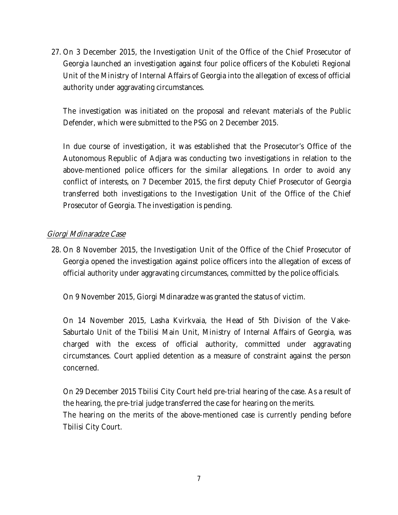27. On 3 December 2015, the Investigation Unit of the Office of the Chief Prosecutor of Georgia launched an investigation against four police officers of the Kobuleti Regional Unit of the Ministry of Internal Affairs of Georgia into the allegation of excess of official authority under aggravating circumstances.

The investigation was initiated on the proposal and relevant materials of the Public Defender, which were submitted to the PSG on 2 December 2015.

In due course of investigation, it was established that the Prosecutor's Office of the Autonomous Republic of Adjara was conducting two investigations in relation to the above-mentioned police officers for the similar allegations. In order to avoid any conflict of interests, on 7 December 2015, the first deputy Chief Prosecutor of Georgia transferred both investigations to the Investigation Unit of the Office of the Chief Prosecutor of Georgia. The investigation is pending.

### *Giorgi Mdinaradze Case*

28. On 8 November 2015, the Investigation Unit of the Office of the Chief Prosecutor of Georgia opened the investigation against police officers into the allegation of excess of official authority under aggravating circumstances, committed by the police officials.

On 9 November 2015, Giorgi Mdinaradze was granted the status of victim.

On 14 November 2015, Lasha Kvirkvaia, the Head of 5th Division of the Vake-Saburtalo Unit of the Tbilisi Main Unit, Ministry of Internal Affairs of Georgia, was charged with the excess of official authority, committed under aggravating circumstances. Court applied detention as a measure of constraint against the person concerned.

On 29 December 2015 Tbilisi City Court held pre-trial hearing of the case. As a result of the hearing, the pre-trial judge transferred the case for hearing on the merits. The hearing on the merits of the above-mentioned case is currently pending before Tbilisi City Court.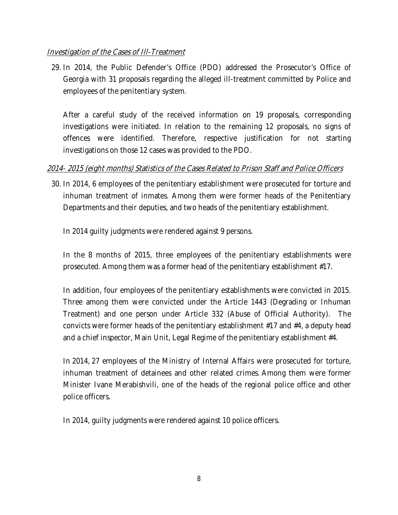## *Investigation of the Cases of Ill-Treatment*

29. In 2014, the Public Defender's Office (PDO) addressed the Prosecutor's Office of Georgia with 31 proposals regarding the alleged ill-treatment committed by Police and employees of the penitentiary system.

After a careful study of the received information on 19 proposals, corresponding investigations were initiated. In relation to the remaining 12 proposals, no signs of offences were identified. Therefore, respective justification for not starting investigations on those 12 cases was provided to the PDO.

# *2014- 2015 (eight months) Statistics of the Cases Related to Prison Staff and Police Officers*

30. In 2014, 6 employees of the penitentiary establishment were prosecuted for torture and inhuman treatment of inmates. Among them were former heads of the Penitentiary Departments and their deputies, and two heads of the penitentiary establishment.

In 2014 guilty judgments were rendered against 9 persons.

In the 8 months of 2015, three employees of the penitentiary establishments were prosecuted. Among them was a former head of the penitentiary establishment #17.

In addition, four employees of the penitentiary establishments were convicted in 2015. Three among them were convicted under the Article 1443 (Degrading or Inhuman Treatment) and one person under Article 332 (Abuse of Official Authority). The convicts were former heads of the penitentiary establishment #17 and #4, a deputy head and a chief inspector, Main Unit, Legal Regime of the penitentiary establishment #4.

In 2014, 27 employees of the Ministry of Internal Affairs were prosecuted for torture, inhuman treatment of detainees and other related crimes. Among them were former Minister Ivane Merabishvili, one of the heads of the regional police office and other police officers.

In 2014, guilty judgments were rendered against 10 police officers.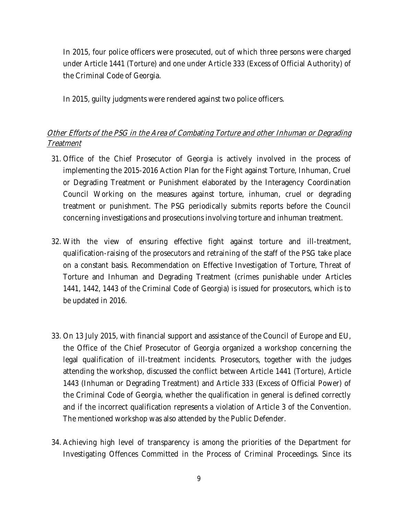In 2015, four police officers were prosecuted, out of which three persons were charged under Article 1441 (Torture) and one under Article 333 (Excess of Official Authority) of the Criminal Code of Georgia.

In 2015, guilty judgments were rendered against two police officers.

# *Other Efforts of the PSG in the Area of Combating Torture and other Inhuman or Degrading Treatment*

- 31. Office of the Chief Prosecutor of Georgia is actively involved in the process of implementing the 2015-2016 Action Plan for the Fight against Torture, Inhuman, Cruel or Degrading Treatment or Punishment elaborated by the Interagency Coordination Council Working on the measures against torture, inhuman, cruel or degrading treatment or punishment. The PSG periodically submits reports before the Council concerning investigations and prosecutions involving torture and inhuman treatment.
- 32. With the view of ensuring effective fight against torture and ill-treatment, qualification-raising of the prosecutors and retraining of the staff of the PSG take place on a constant basis. Recommendation on Effective Investigation of Torture, Threat of Torture and Inhuman and Degrading Treatment (crimes punishable under Articles 1441, 1442, 1443 of the Criminal Code of Georgia) is issued for prosecutors, which is to be updated in 2016.
- 33. On 13 July 2015, with financial support and assistance of the Council of Europe and EU, the Office of the Chief Prosecutor of Georgia organized a workshop concerning the legal qualification of ill-treatment incidents. Prosecutors, together with the judges attending the workshop, discussed the conflict between Article 1441 (Torture), Article 1443 (Inhuman or Degrading Treatment) and Article 333 (Excess of Official Power) of the Criminal Code of Georgia, whether the qualification in general is defined correctly and if the incorrect qualification represents a violation of Article 3 of the Convention. The mentioned workshop was also attended by the Public Defender.
- 34. Achieving high level of transparency is among the priorities of the Department for Investigating Offences Committed in the Process of Criminal Proceedings. Since its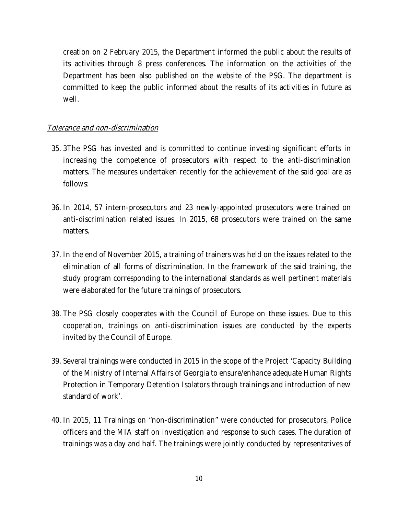creation on 2 February 2015, the Department informed the public about the results of its activities through 8 press conferences. The information on the activities of the Department has been also published on the website of the PSG. The department is committed to keep the public informed about the results of its activities in future as well.

#### *Tolerance and non-discrimination*

- 35. 3The PSG has invested and is committed to continue investing significant efforts in increasing the competence of prosecutors with respect to the anti-discrimination matters. The measures undertaken recently for the achievement of the said goal are as follows:
- 36. In 2014, 57 intern-prosecutors and 23 newly-appointed prosecutors were trained on anti-discrimination related issues. In 2015, 68 prosecutors were trained on the same matters.
- 37. In the end of November 2015, a training of trainers was held on the issues related to the elimination of all forms of discrimination. In the framework of the said training, the study program corresponding to the international standards as well pertinent materials were elaborated for the future trainings of prosecutors.
- 38. The PSG closely cooperates with the Council of Europe on these issues. Due to this cooperation, trainings on anti-discrimination issues are conducted by the experts invited by the Council of Europe.
- 39. Several trainings were conducted in 2015 in the scope of the Project 'Capacity Building of the Ministry of Internal Affairs of Georgia to ensure/enhance adequate Human Rights Protection in Temporary Detention Isolators through trainings and introduction of new standard of work'.
- 40. In 2015, 11 Trainings on "non-discrimination" were conducted for prosecutors, Police officers and the MIA staff on investigation and response to such cases. The duration of trainings was a day and half. The trainings were jointly conducted by representatives of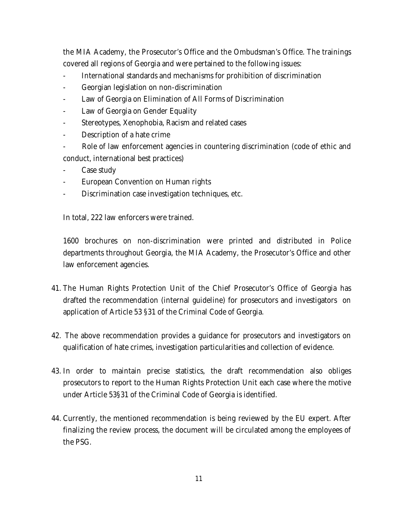the MIA Academy, the Prosecutor's Office and the Ombudsman's Office. The trainings covered all regions of Georgia and were pertained to the following issues:

- International standards and mechanisms for prohibition of discrimination
- Georgian legislation on non-discrimination
- Law of Georgia on Elimination of All Forms of Discrimination
- Law of Georgia on Gender Equality
- Stereotypes, Xenophobia, Racism and related cases
- Description of a hate crime
- Role of law enforcement agencies in countering discrimination (code of ethic and conduct, international best practices)
- Case study
- European Convention on Human rights
- Discrimination case investigation techniques, etc.

In total, 222 law enforcers were trained.

1600 brochures on non-discrimination were printed and distributed in Police departments throughout Georgia, the MIA Academy, the Prosecutor's Office and other law enforcement agencies.

- 41. The Human Rights Protection Unit of the Chief Prosecutor's Office of Georgia has drafted the recommendation (internal guideline) for prosecutors and investigators on application of Article 53 §31 of the Criminal Code of Georgia.
- 42. The above recommendation provides a guidance for prosecutors and investigators on qualification of hate crimes, investigation particularities and collection of evidence.
- 43. In order to maintain precise statistics, the draft recommendation also obliges prosecutors to report to the Human Rights Protection Unit each case where the motive under Article 53§31 of the Criminal Code of Georgia is identified.
- 44. Currently, the mentioned recommendation is being reviewed by the EU expert. After finalizing the review process, the document will be circulated among the employees of the PSG.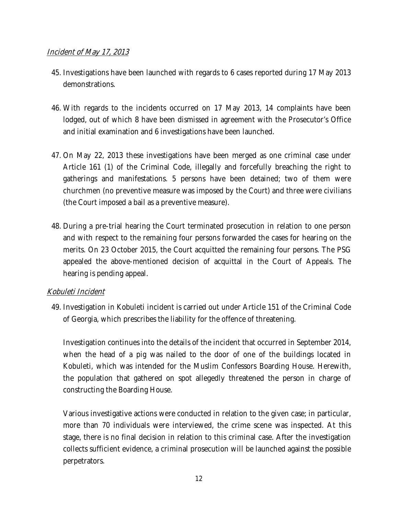### *Incident of May 17, 2013*

- 45. Investigations have been launched with regards to 6 cases reported during 17 May 2013 demonstrations.
- 46. With regards to the incidents occurred on 17 May 2013, 14 complaints have been lodged, out of which 8 have been dismissed in agreement with the Prosecutor's Office and initial examination and 6 investigations have been launched.
- 47. On May 22, 2013 these investigations have been merged as one criminal case under Article 161 (1) of the Criminal Code, illegally and forcefully breaching the right to gatherings and manifestations. 5 persons have been detained; two of them were churchmen (no preventive measure was imposed by the Court) and three were civilians (the Court imposed a bail as a preventive measure).
- 48. During a pre-trial hearing the Court terminated prosecution in relation to one person and with respect to the remaining four persons forwarded the cases for hearing on the merits. On 23 October 2015, the Court acquitted the remaining four persons. The PSG appealed the above-mentioned decision of acquittal in the Court of Appeals. The hearing is pending appeal.

### *Kobuleti Incident*

49. Investigation in Kobuleti incident is carried out under Article 151 of the Criminal Code of Georgia, which prescribes the liability for the offence of threatening.

Investigation continues into the details of the incident that occurred in September 2014, when the head of a pig was nailed to the door of one of the buildings located in Kobuleti, which was intended for the Muslim Confessors Boarding House. Herewith, the population that gathered on spot allegedly threatened the person in charge of constructing the Boarding House.

Various investigative actions were conducted in relation to the given case; in particular, more than 70 individuals were interviewed, the crime scene was inspected. At this stage, there is no final decision in relation to this criminal case. After the investigation collects sufficient evidence, a criminal prosecution will be launched against the possible perpetrators.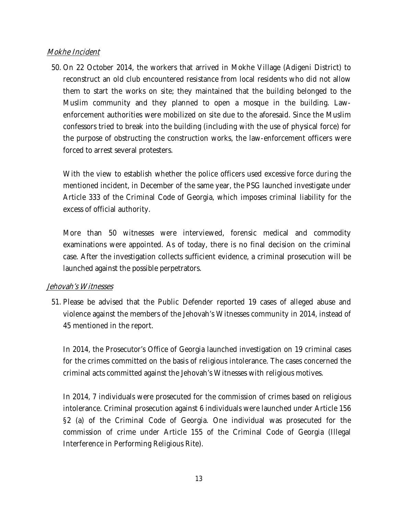#### *Mokhe Incident*

50. On 22 October 2014, the workers that arrived in Mokhe Village (Adigeni District) to reconstruct an old club encountered resistance from local residents who did not allow them to start the works on site; they maintained that the building belonged to the Muslim community and they planned to open a mosque in the building. Lawenforcement authorities were mobilized on site due to the aforesaid. Since the Muslim confessors tried to break into the building (including with the use of physical force) for the purpose of obstructing the construction works, the law-enforcement officers were forced to arrest several protesters.

With the view to establish whether the police officers used excessive force during the mentioned incident, in December of the same year, the PSG launched investigate under Article 333 of the Criminal Code of Georgia, which imposes criminal liability for the excess of official authority.

More than 50 witnesses were interviewed, forensic medical and commodity examinations were appointed. As of today, there is no final decision on the criminal case. After the investigation collects sufficient evidence, a criminal prosecution will be launched against the possible perpetrators.

#### *Jehovah's Witnesses*

51. Please be advised that the Public Defender reported 19 cases of alleged abuse and violence against the members of the Jehovah's Witnesses community in 2014, instead of 45 mentioned in the report.

In 2014, the Prosecutor's Office of Georgia launched investigation on 19 criminal cases for the crimes committed on the basis of religious intolerance. The cases concerned the criminal acts committed against the Jehovah's Witnesses with religious motives.

In 2014, 7 individuals were prosecuted for the commission of crimes based on religious intolerance. Criminal prosecution against 6 individuals were launched under Article 156 §2 (a) of the Criminal Code of Georgia. One individual was prosecuted for the commission of crime under Article 155 of the Criminal Code of Georgia (Illegal Interference in Performing Religious Rite).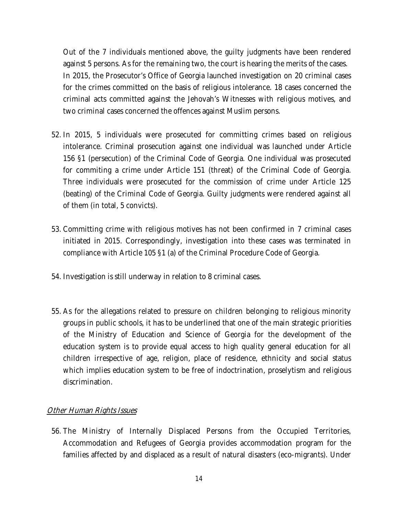Out of the 7 individuals mentioned above, the guilty judgments have been rendered against 5 persons. As for the remaining two, the court is hearing the merits of the cases. In 2015, the Prosecutor's Office of Georgia launched investigation on 20 criminal cases for the crimes committed on the basis of religious intolerance. 18 cases concerned the criminal acts committed against the Jehovah's Witnesses with religious motives, and two criminal cases concerned the offences against Muslim persons.

- 52. In 2015, 5 individuals were prosecuted for committing crimes based on religious intolerance. Criminal prosecution against one individual was launched under Article 156 §1 (persecution) of the Criminal Code of Georgia. One individual was prosecuted for commiting a crime under Article 151 (threat) of the Criminal Code of Georgia. Three individuals were prosecuted for the commission of crime under Article 125 (beating) of the Criminal Code of Georgia. Guilty judgments were rendered against all of them (in total, 5 convicts).
- 53. Committing crime with religious motives has not been confirmed in 7 criminal cases initiated in 2015. Correspondingly, investigation into these cases was terminated in compliance with Article 105 §1 (a) of the Criminal Procedure Code of Georgia.
- 54. Investigation is still underway in relation to 8 criminal cases.
- 55. As for the allegations related to pressure on children belonging to religious minority groups in public schools, it has to be underlined that one of the main strategic priorities of the Ministry of Education and Science of Georgia for the development of the education system is to provide equal access to high quality general education for all children irrespective of age, religion, place of residence, ethnicity and social status which implies education system to be free of indoctrination, proselytism and religious discrimination.

### *Other Human Rights Issues*

56. The Ministry of Internally Displaced Persons from the Occupied Territories, Accommodation and Refugees of Georgia provides accommodation program for the families affected by and displaced as a result of natural disasters (eco-migrants). Under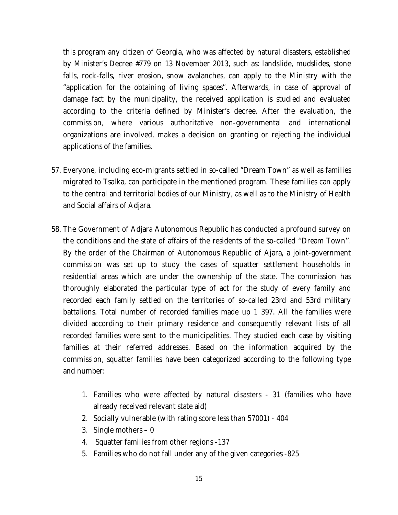this program any citizen of Georgia, who was affected by natural disasters, established by Minister's Decree #779 on 13 November 2013, such as: landslide, mudslides, stone falls, rock-falls, river erosion, snow avalanches, can apply to the Ministry with the "application for the obtaining of living spaces". Afterwards, in case of approval of damage fact by the municipality, the received application is studied and evaluated according to the criteria defined by Minister's decree. After the evaluation, the commission, where various authoritative non-governmental and international organizations are involved, makes a decision on granting or rejecting the individual applications of the families.

- 57. Everyone, including eco-migrants settled in so-called "Dream Town" as well as families migrated to Tsalka, can participate in the mentioned program. These families can apply to the central and territorial bodies of our Ministry, as well as to the Ministry of Health and Social affairs of Adjara.
- 58. The Government of Adjara Autonomous Republic has conducted a profound survey on the conditions and the state of affairs of the residents of the so-called ''Dream Town''. By the order of the Chairman of Autonomous Republic of Ajara, a joint-government commission was set up to study the cases of squatter settlement households in residential areas which are under the ownership of the state. The commission has thoroughly elaborated the particular type of act for the study of every family and recorded each family settled on the territories of so-called 23rd and 53rd military battalions. Total number of recorded families made up 1 397. All the families were divided according to their primary residence and consequently relevant lists of all recorded families were sent to the municipalities. They studied each case by visiting families at their referred addresses. Based on the information acquired by the commission, squatter families have been categorized according to the following type and number:
	- 1. Families who were affected by natural disasters 31 (families who have already received relevant state aid)
	- 2. Socially vulnerable (with rating score less than 57001) 404
	- 3. Single mothers 0
	- 4. Squatter families from other regions -137
	- 5. Families who do not fall under any of the given categories -825